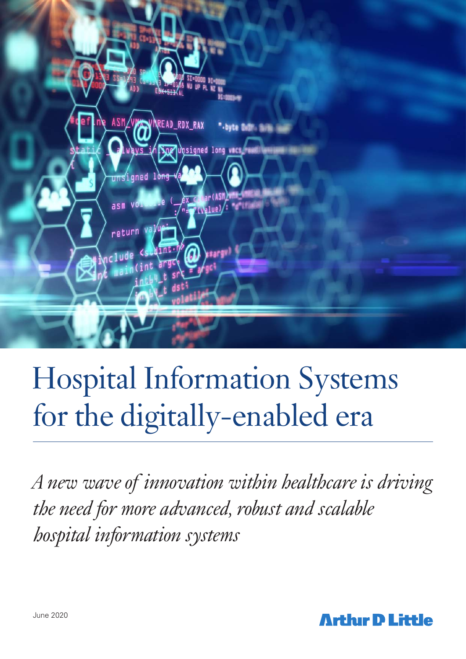

# Hospital Information Systems for the digitally-enabled era

*A new wave of innovation within healthcare is driving the need for more advanced, robust and scalable hospital information systems*

**Arthir D Little**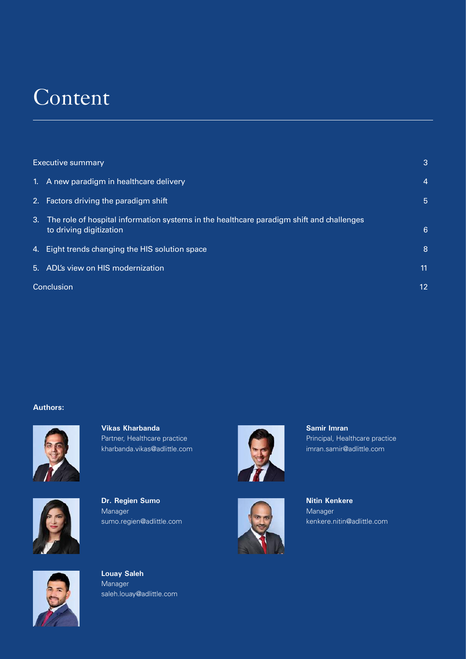# Content

| 1. A new paradigm in healthcare delivery<br>2. Factors driving the paradigm shift<br>3. The role of hospital information systems in the healthcare paradigm shift and challenges<br>to driving digitization<br>4. Eight trends changing the HIS solution space<br>5. ADL's view on HIS modernization<br>Conclusion | <b>Executive summary</b> |    | 3  |
|--------------------------------------------------------------------------------------------------------------------------------------------------------------------------------------------------------------------------------------------------------------------------------------------------------------------|--------------------------|----|----|
|                                                                                                                                                                                                                                                                                                                    |                          |    | 4  |
|                                                                                                                                                                                                                                                                                                                    |                          |    | 5  |
|                                                                                                                                                                                                                                                                                                                    |                          |    | 6  |
|                                                                                                                                                                                                                                                                                                                    |                          |    | 8  |
|                                                                                                                                                                                                                                                                                                                    |                          |    | 11 |
|                                                                                                                                                                                                                                                                                                                    |                          | 12 |    |

### **Authors:**



**Vikas Kharbanda**  Partner, Healthcare practice kharbanda.vikas@adlittle.com



**Dr. Regien Sumo**  Manager sumo.regien@adlittle.com





**Nitin Kenkere**  Manager kenkere.nitin@adlittle.com

Principal, Healthcare practice imran.samir@adlittle.com

**Samir Imran** 



**Louay Saleh**  Manager saleh.louay@adlittle.com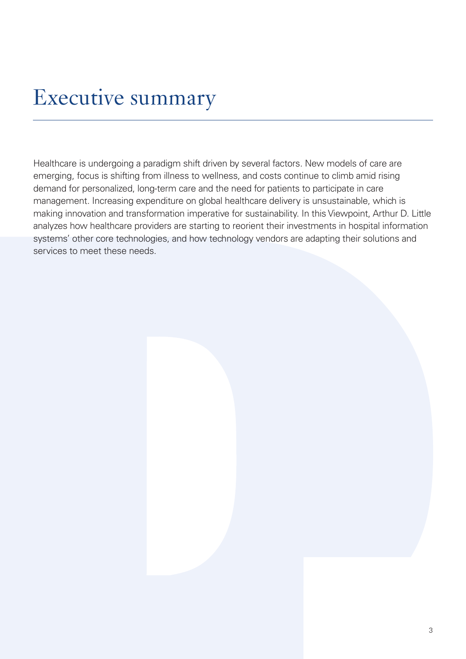# Executive summary

Healthcare is undergoing a paradigm shift driven by several factors. New models of care are emerging, focus is shifting from illness to wellness, and costs continue to climb amid rising demand for personalized, long-term care and the need for patients to participate in care management. Increasing expenditure on global healthcare delivery is unsustainable, which is making innovation and transformation imperative for sustainability. In this Viewpoint, Arthur D. Little analyzes how healthcare providers are starting to reorient their investments in hospital information systems' other core technologies, and how technology vendors are adapting their solutions and services to meet these needs.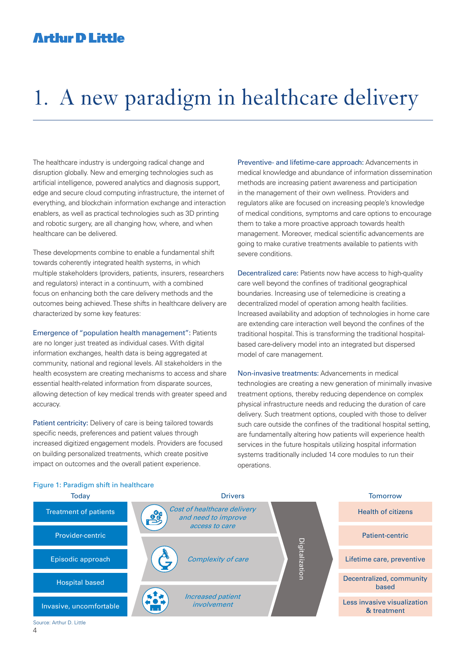# 1. A new paradigm in healthcare delivery

The healthcare industry is undergoing radical change and disruption globally. New and emerging technologies such as artificial intelligence, powered analytics and diagnosis support, edge and secure cloud computing infrastructure, the internet of everything, and blockchain information exchange and interaction enablers, as well as practical technologies such as 3D printing and robotic surgery, are all changing how, where, and when healthcare can be delivered.

These developments combine to enable a fundamental shift towards coherently integrated health systems, in which multiple stakeholders (providers, patients, insurers, researchers and regulators) interact in a continuum, with a combined focus on enhancing both the care delivery methods and the outcomes being achieved. These shifts in healthcare delivery are characterized by some key features:

Emergence of "population health management": Patients are no longer just treated as individual cases. With digital information exchanges, health data is being aggregated at community, national and regional levels. All stakeholders in the health ecosystem are creating mechanisms to access and share essential health-related information from disparate sources, allowing detection of key medical trends with greater speed and accuracy.

Patient centricity: Delivery of care is being tailored towards specific needs, preferences and patient values through increased digitized engagement models. Providers are focused on building personalized treatments, which create positive impact on outcomes and the overall patient experience.

Preventive- and lifetime-care approach: Advancements in medical knowledge and abundance of information dissemination methods are increasing patient awareness and participation in the management of their own wellness. Providers and regulators alike are focused on increasing people's knowledge of medical conditions, symptoms and care options to encourage them to take a more proactive approach towards health management. Moreover, medical scientific advancements are going to make curative treatments available to patients with severe conditions.

Decentralized care: Patients now have access to high-quality care well beyond the confines of traditional geographical boundaries. Increasing use of telemedicine is creating a decentralized model of operation among health facilities. Increased availability and adoption of technologies in home care are extending care interaction well beyond the confines of the traditional hospital. This is transforming the traditional hospitalbased care-delivery model into an integrated but dispersed model of care management.

Non-invasive treatments: Advancements in medical technologies are creating a new generation of minimally invasive treatment options, thereby reducing dependence on complex physical infrastructure needs and reducing the duration of care delivery. Such treatment options, coupled with those to deliver such care outside the confines of the traditional hospital setting. are fundamentally altering how patients will experience health services in the future hospitals utilizing hospital information systems traditionally included 14 core modules to run their operations.



### Figure 1: Paradigm shift in healthcare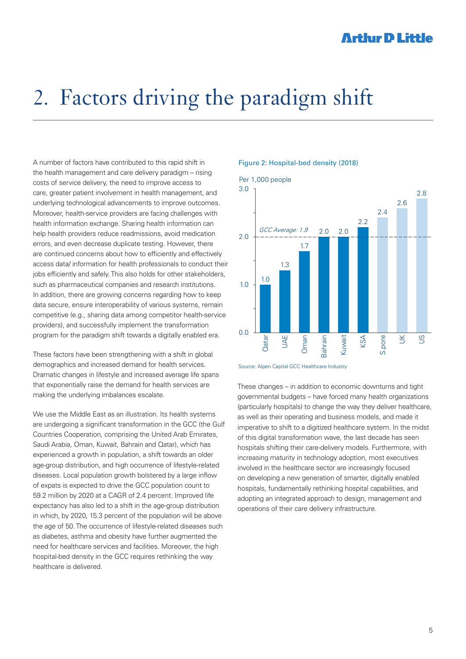# 2. Factors driving the paradigm shift

A number of factors have contributed to this rapid shift in the health management and care delivery paradigm – rising costs of service delivery, the need to improve access to care, greater patient involvement in health management, and underlying technological advancements to improve outcomes. Moreover, health-service providers are facing challenges with health information exchange. Sharing health information can help health providers reduce readmissions, avoid medication errors, and even decrease duplicate testing. However, there are continued concerns about how to efficiently and effectively access data/ information for health professionals to conduct their jobs efficiently and safely. This also holds for other stakeholders, such as pharmaceutical companies and research institutions. In addition, there are growing concerns regarding how to keep data secure, ensure interoperability of various systems, remain competitive (e.g., sharing data among competitor health-service providers), and successfully implement the transformation program for the paradigm shift towards a digitally enabled era.

These factors have been strengthening with a shift in global demographics and increased demand for health services. Dramatic changes in lifestyle and increased average life spans that exponentially raise the demand for health services are making the underlying imbalances escalate.

We use the Middle East as an illustration. Its health systems are undergoing a significant transformation in the GCC (the Gulf Countries Cooperation, comprising the United Arab Emirates, Saudi Arabia, Oman, Kuwait, Bahrain and Qatar), which has experienced a growth in population, a shift towards an older age-group distribution, and high occurrence of lifestyle-related diseases. Local population growth bolstered by a large inflow of expats is expected to drive the GCC population count to 59.2 million by 2020 at a CAGR of 2.4 percent. Improved life expectancy has also led to a shift in the age-group distribution in which, by 2020, 15.3 percent of the population will be above the age of 50. The occurrence of lifestyle-related diseases such as diabetes, asthma and obesity have further augmented the need for healthcare services and facilities. Moreover, the high hospital-bed density in the GCC requires rethinking the way healthcare is delivered.

#### Figure 2: Hospital-bed density (2018)





These changes – in addition to economic downturns and tight governmental budgets – have forced many health organizations (particularly hospitals) to change the way they deliver healthcare, as well as their operating and business models, and made it imperative to shift to a digitized healthcare system. In the midst of this digital transformation wave, the last decade has seen hospitals shifting their care-delivery models. Furthermore, with increasing maturity in technology adoption, most executives involved in the healthcare sector are increasingly focused on developing a new generation of smarter, digitally enabled hospitals, fundamentally rethinking hospital capabilities, and adopting an integrated approach to design, management and operations of their care delivery infrastructure.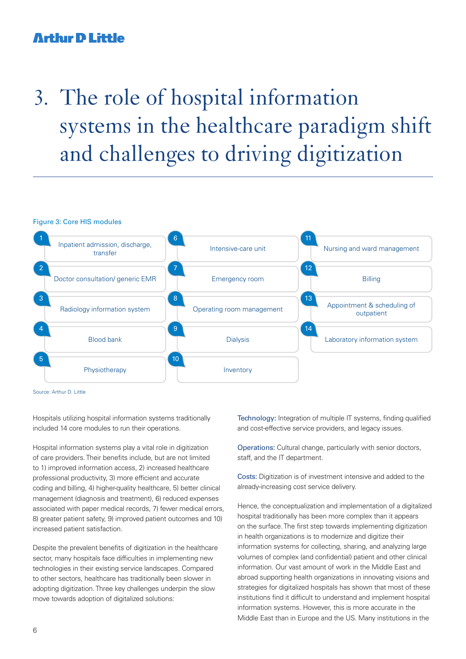# 3. The role of hospital information systems in the healthcare paradigm shift and challenges to driving digitization



Source: Arthur D. Little

Hospitals utilizing hospital information systems traditionally included 14 core modules to run their operations.

Hospital information systems play a vital role in digitization of care providers. Their benefits include, but are not limited to 1) improved information access, 2) increased healthcare professional productivity, 3) more efficient and accurate coding and billing, 4) higher-quality healthcare, 5) better clinical management (diagnosis and treatment), 6) reduced expenses associated with paper medical records, 7) fewer medical errors, 8) greater patient safety, 9) improved patient outcomes and 10) increased patient satisfaction.

Despite the prevalent benefits of digitization in the healthcare sector, many hospitals face difficulties in implementing new technologies in their existing service landscapes. Compared to other sectors, healthcare has traditionally been slower in adopting digitization. Three key challenges underpin the slow move towards adoption of digitalized solutions:

Technology: Integration of multiple IT systems, finding qualified and cost-effective service providers, and legacy issues.

Operations: Cultural change, particularly with senior doctors, staff, and the IT department.

Costs: Digitization is of investment intensive and added to the already-increasing cost service delivery.

Hence, the conceptualization and implementation of a digitalized hospital traditionally has been more complex than it appears on the surface. The first step towards implementing digitization in health organizations is to modernize and digitize their information systems for collecting, sharing, and analyzing large volumes of complex (and confidential) patient and other clinical information. Our vast amount of work in the Middle East and abroad supporting health organizations in innovating visions and strategies for digitalized hospitals has shown that most of these institutions find it difficult to understand and implement hospital information systems. However, this is more accurate in the Middle East than in Europe and the US. Many institutions in the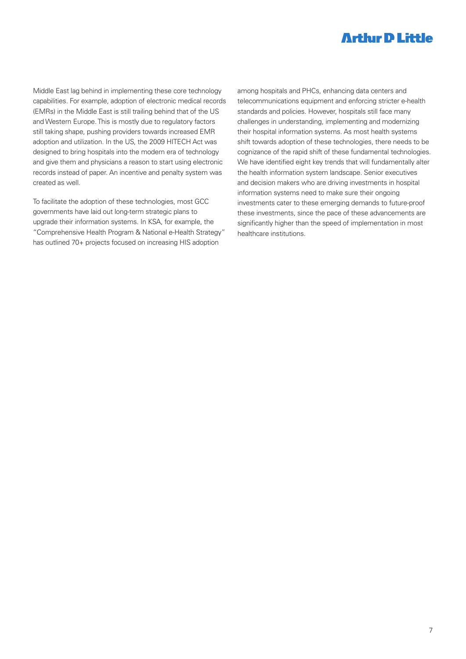Middle East lag behind in implementing these core technology capabilities. For example, adoption of electronic medical records (EMRs) in the Middle East is still trailing behind that of the US and Western Europe. This is mostly due to regulatory factors still taking shape, pushing providers towards increased EMR adoption and utilization. In the US, the 2009 HITECH Act was designed to bring hospitals into the modern era of technology and give them and physicians a reason to start using electronic records instead of paper. An incentive and penalty system was created as well.

To facilitate the adoption of these technologies, most GCC governments have laid out long-term strategic plans to upgrade their information systems. In KSA, for example, the "Comprehensive Health Program & National e-Health Strategy" has outlined 70+ projects focused on increasing HIS adoption

among hospitals and PHCs, enhancing data centers and telecommunications equipment and enforcing stricter e-health standards and policies. However, hospitals still face many challenges in understanding, implementing and modernizing their hospital information systems. As most health systems shift towards adoption of these technologies, there needs to be cognizance of the rapid shift of these fundamental technologies. We have identified eight key trends that will fundamentally alter the health information system landscape. Senior executives and decision makers who are driving investments in hospital information systems need to make sure their ongoing investments cater to these emerging demands to future-proof these investments, since the pace of these advancements are significantly higher than the speed of implementation in most healthcare institutions.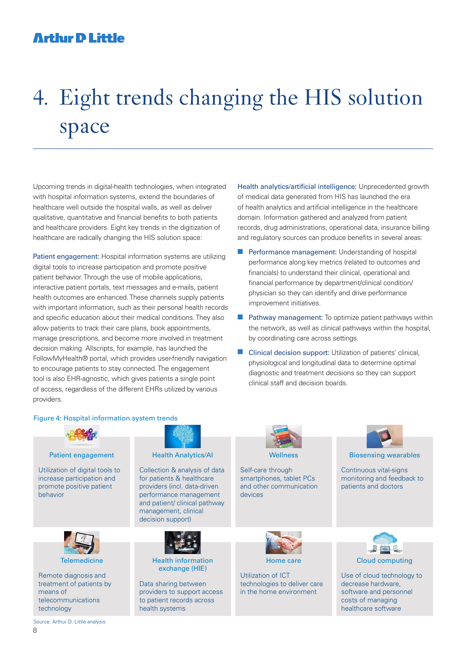# 4. Eight trends changing the HIS solution space

Upcoming trends in digital-health technologies, when integrated with hospital information systems, extend the boundaries of healthcare well outside the hospital walls, as well as deliver qualitative, quantitative and financial benefits to both patients and healthcare providers. Eight key trends in the digitization of healthcare are radically changing the HIS solution space:

Patient engagement: Hospital information systems are utilizing digital tools to increase participation and promote positive patient behavior. Through the use of mobile applications, interactive patient portals, text messages and e-mails, patient health outcomes are enhanced. These channels supply patients with important information, such as their personal health records and specific education about their medical conditions. They also allow patients to track their care plans, book appointments, manage prescriptions, and become more involved in treatment decision making. Allscripts, for example, has launched the FollowMyHealth® portal, which provides user-friendly navigation to encourage patients to stay connected. The engagement tool is also EHR-agnostic, which gives patients a single point of access, regardless of the different EHRs utilized by various providers.

Health analytics/artificial intelligence: Unprecedented growth of medical data generated from HIS has launched the era of health analytics and artificial intelligence in the healthcare domain. Information gathered and analyzed from patient records, drug administrations, operational data, insurance billing and regulatory sources can produce benefits in several areas:

- **n** Performance management: Understanding of hospital performance along key metrics (related to outcomes and financials) to understand their clinical, operational and financial performance by department/clinical condition/ physician so they can identify and drive performance improvement initiatives.
- $\blacksquare$  Pathway management: To optimize patient pathways within the network, as well as clinical pathways within the hospital, by coordinating care across settings.
- $\blacksquare$  Clinical decision support: Utilization of patients' clinical, physiological and longitudinal data to determine optimal diagnostic and treatment decisions so they can support clinical staff and decision boards.

#### Figure 4: Hospital information system trends

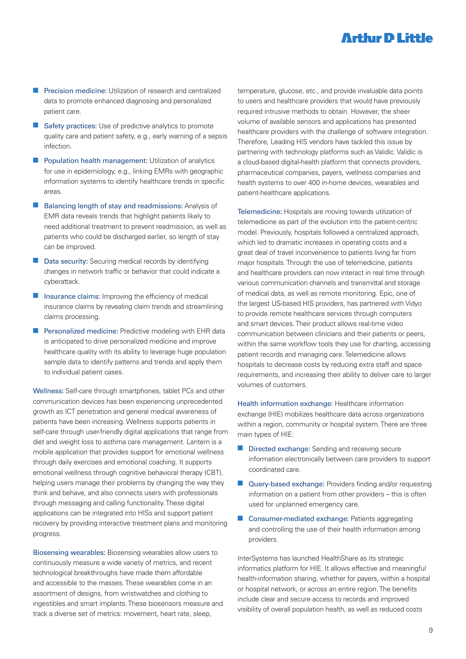- **n** Precision medicine: Utilization of research and centralized data to promote enhanced diagnosing and personalized patient care.
- $\blacksquare$  Safety practices: Use of predictive analytics to promote quality care and patient safety, e.g., early warning of a sepsis infection.
- $\blacksquare$  Population health management: Utilization of analytics for use in epidemiology, e.g., linking EMRs with geographic information systems to identify healthcare trends in specific areas.
- $\blacksquare$  Balancing length of stay and readmissions: Analysis of EMR data reveals trends that highlight patients likely to need additional treatment to prevent readmission, as well as patients who could be discharged earlier, so length of stay can be improved.
- Data security: Securing medical records by identifying changes in network traffic or behavior that could indicate a cyberattack.
- $\blacksquare$  Insurance claims: Improving the efficiency of medical insurance claims by revealing claim trends and streamlining claims processing.
- **n** Personalized medicine: Predictive modeling with EHR data is anticipated to drive personalized medicine and improve healthcare quality with its ability to leverage huge population sample data to identify patterns and trends and apply them to individual patient cases.

Wellness: Self-care through smartphones, tablet PCs and other communication devices has been experiencing unprecedented growth as ICT penetration and general medical awareness of patients have been increasing. Wellness supports patients in self-care through user-friendly digital applications that range from diet and weight loss to asthma care management. Lantern is a mobile application that provides support for emotional wellness through daily exercises and emotional coaching. It supports emotional wellness through cognitive behavioral therapy (CBT). helping users manage their problems by changing the way they think and behave, and also connects users with professionals through messaging and calling functionality. These digital applications can be integrated into HISs and support patient recovery by providing interactive treatment plans and monitoring progress.

Biosensing wearables: Biosensing wearables allow users to continuously measure a wide variety of metrics, and recent technological breakthroughs have made them affordable and accessible to the masses. These wearables come in an assortment of designs, from wristwatches and clothing to ingestibles and smart implants. These biosensors measure and track a diverse set of metrics: movement, heart rate, sleep,

temperature, glucose, etc., and provide invaluable data points to users and healthcare providers that would have previously required intrusive methods to obtain. However, the sheer volume of available sensors and applications has presented healthcare providers with the challenge of software integration. Therefore, Leading HIS vendors have tackled this issue by partnering with technology platforms such as Validic. Validic is a cloud-based digital-health platform that connects providers, pharmaceutical companies, payers, wellness companies and health systems to over 400 in-home devices, wearables and patient-healthcare applications.

Telemedicine: Hospitals are moving towards utilization of telemedicine as part of the evolution into the patient-centric model. Previously, hospitals followed a centralized approach, which led to dramatic increases in operating costs and a great deal of travel inconvenience to patients living far from major hospitals. Through the use of telemedicine, patients and healthcare providers can now interact in real time through various communication channels and transmittal and storage of medical data, as well as remote monitoring. Epic, one of the largest US-based HIS providers, has partnered with Vidyo to provide remote healthcare services through computers and smart devices. Their product allows real-time video communication between clinicians and their patients or peers, within the same workflow tools they use for charting, accessing patient records and managing care. Telemedicine allows hospitals to decrease costs by reducing extra staff and space requirements, and increasing their ability to deliver care to larger volumes of customers.

Health information exchange: Healthcare information exchange (HIE) mobilizes healthcare data across organizations within a region, community or hospital system. There are three main types of HIE:

- $\blacksquare$  Directed exchange: Sending and receiving secure information electronically between care providers to support coordinated care.
- Query-based exchange: Providers finding and/or requesting information on a patient from other providers – this is often used for unplanned emergency care.
- Consumer-mediated exchange: Patients aggregating and controlling the use of their health information among providers.

InterSystems has launched HealthShare as its strategic informatics platform for HIE. It allows effective and meaningful health-information sharing, whether for payers, within a hospital or hospital network, or across an entire region. The benefits include clear and secure access to records and improved visibility of overall population health, as well as reduced costs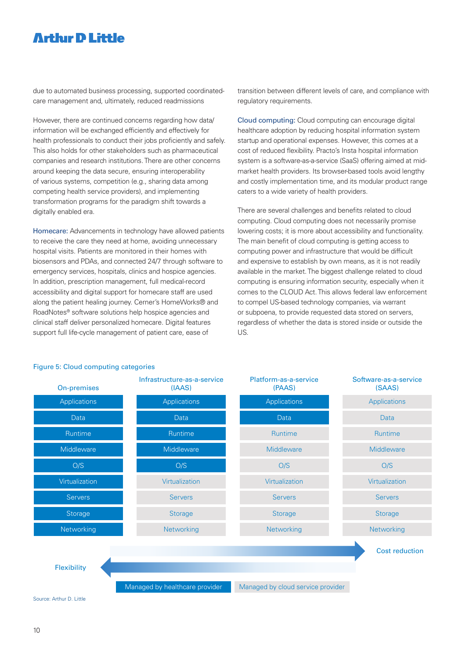due to automated business processing, supported coordinatedcare management and, ultimately, reduced readmissions

However, there are continued concerns regarding how data/ information will be exchanged efficiently and effectively for health professionals to conduct their jobs proficiently and safely. This also holds for other stakeholders such as pharmaceutical companies and research institutions. There are other concerns around keeping the data secure, ensuring interoperability of various systems, competition (e.g., sharing data among competing health service providers), and implementing transformation programs for the paradigm shift towards a digitally enabled era.

Homecare: Advancements in technology have allowed patients to receive the care they need at home, avoiding unnecessary hospital visits. Patients are monitored in their homes with biosensors and PDAs, and connected 24/7 through software to emergency services, hospitals, clinics and hospice agencies. In addition, prescription management, full medical-record accessibility and digital support for homecare staff are used along the patient healing journey. Cerner's HomeWorks® and RoadNotes® software solutions help hospice agencies and clinical staff deliver personalized homecare. Digital features support full life-cycle management of patient care, ease of

transition between different levels of care, and compliance with regulatory requirements.

Cloud computing: Cloud computing can encourage digital healthcare adoption by reducing hospital information system startup and operational expenses. However, this comes at a cost of reduced flexibility. Practo's Insta hospital information system is a software-as-a-service (SaaS) offering aimed at midmarket health providers. Its browser-based tools avoid lengthy and costly implementation time, and its modular product range caters to a wide variety of health providers.

There are several challenges and benefits related to cloud computing. Cloud computing does not necessarily promise lowering costs; it is more about accessibility and functionality. The main benefit of cloud computing is getting access to computing power and infrastructure that would be difficult and expensive to establish by own means, as it is not readily available in the market. The biggest challenge related to cloud computing is ensuring information security, especially when it comes to the CLOUD Act. This allows federal law enforcement to compel US-based technology companies, via warrant or subpoena, to provide requested data stored on servers, regardless of whether the data is stored inside or outside the US.



#### Figure 5: Cloud computing categories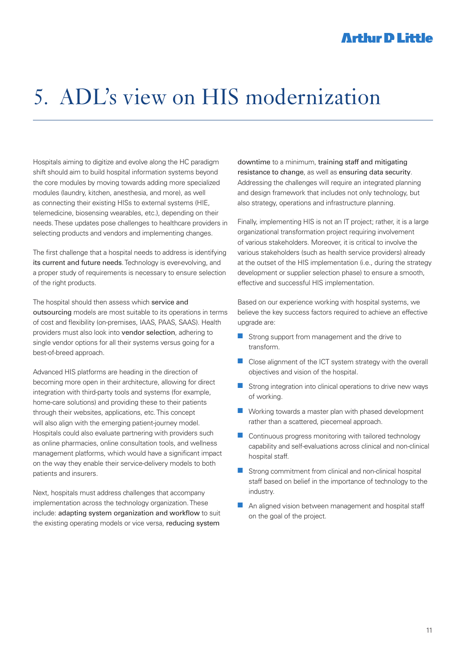# 5. ADL's view on HIS modernization

Hospitals aiming to digitize and evolve along the HC paradigm shift should aim to build hospital information systems beyond the core modules by moving towards adding more specialized modules (laundry, kitchen, anesthesia, and more), as well as connecting their existing HISs to external systems (HIE, telemedicine, biosensing wearables, etc.), depending on their needs. These updates pose challenges to healthcare providers in selecting products and vendors and implementing changes.

The first challenge that a hospital needs to address is identifying its current and future needs. Technology is ever-evolving, and a proper study of requirements is necessary to ensure selection of the right products.

The hospital should then assess which service and outsourcing models are most suitable to its operations in terms of cost and flexibility (on-premises, IAAS, PAAS, SAAS). Health providers must also look into vendor selection, adhering to single vendor options for all their systems versus going for a best-of-breed approach.

Advanced HIS platforms are heading in the direction of becoming more open in their architecture, allowing for direct integration with third-party tools and systems (for example, home-care solutions) and providing these to their patients through their websites, applications, etc. This concept will also align with the emerging patient-journey model. Hospitals could also evaluate partnering with providers such as online pharmacies, online consultation tools, and wellness management platforms, which would have a significant impact on the way they enable their service-delivery models to both patients and insurers.

Next, hospitals must address challenges that accompany implementation across the technology organization. These include: adapting system organization and workflow to suit the existing operating models or vice versa, reducing system

downtime to a minimum, training staff and mitigating resistance to change, as well as ensuring data security. Addressing the challenges will require an integrated planning and design framework that includes not only technology, but also strategy, operations and infrastructure planning.

Finally, implementing HIS is not an IT project; rather, it is a large organizational transformation project requiring involvement of various stakeholders. Moreover, it is critical to involve the various stakeholders (such as health service providers) already at the outset of the HIS implementation (i.e., during the strategy development or supplier selection phase) to ensure a smooth, effective and successful HIS implementation.

Based on our experience working with hospital systems, we believe the key success factors required to achieve an effective upgrade are:

- $\blacksquare$  Strong support from management and the drive to transform.
- $\blacksquare$  Close alignment of the ICT system strategy with the overall objectives and vision of the hospital.
- $\blacksquare$  Strong integration into clinical operations to drive new ways of working.
- $\blacksquare$  Working towards a master plan with phased development rather than a scattered, piecemeal approach.
- $\blacksquare$  Continuous progress monitoring with tailored technology capability and self-evaluations across clinical and non-clinical hospital staff.
- $\blacksquare$  Strong commitment from clinical and non-clinical hospital staff based on belief in the importance of technology to the industry.
- $\blacksquare$  An aligned vision between management and hospital staff on the goal of the project.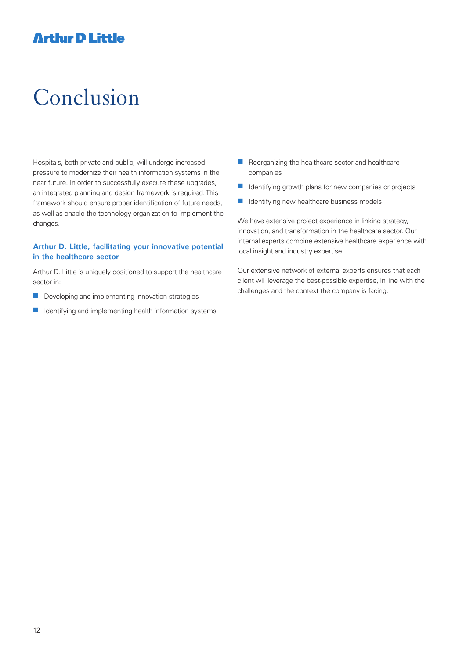# Conclusion

Hospitals, both private and public, will undergo increased pressure to modernize their health information systems in the near future. In order to successfully execute these upgrades, an integrated planning and design framework is required. This framework should ensure proper identification of future needs, as well as enable the technology organization to implement the changes.

### **Arthur D. Little, facilitating your innovative potential in the healthcare sector**

Arthur D. Little is uniquely positioned to support the healthcare sector in:

- $\blacksquare$  Developing and implementing innovation strategies
- $\blacksquare$  Identifying and implementing health information systems
- $\blacksquare$  Reorganizing the healthcare sector and healthcare companies
- $\blacksquare$  Identifying growth plans for new companies or projects
- $\blacksquare$  Identifying new healthcare business models

We have extensive project experience in linking strategy, innovation, and transformation in the healthcare sector. Our internal experts combine extensive healthcare experience with local insight and industry expertise.

Our extensive network of external experts ensures that each client will leverage the best-possible expertise, in line with the challenges and the context the company is facing.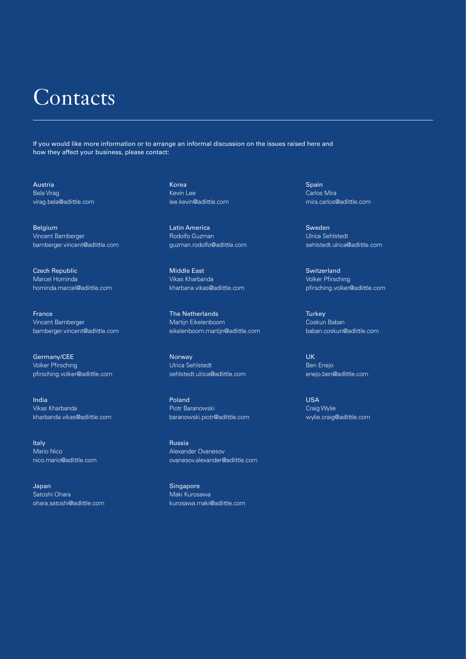## **Contacts**

If you would like more information or to arrange an informal discussion on the issues raised here and how they affect your business, please contact:

Austria Bela Virag virag.bela@adlittle.com

Belgium Vincent Bamberger bamberger.vincent@adlittle.com

Czech Republic Marcel Hominda hominda.marcel@adlittle.com

**France** Vincent Bamberger bamberger.vincent@adlittle.com

Germany/CEE Volker Pfirsching pfirsching.volker@adlittle.com

India Vikas Kharbanda kharbanda.vikas@adlittle.com

Italy Mario Nico nico.mario@adlittle.com

Japan Satoshi Ohara ohara.satoshi@adlittle.com Korea Kevin Lee lee.kevin@adlittle.com

Latin America Rodolfo Guzman guzman.rodolfo@adlittle.com

Middle East Vikas Kharbanda kharbana.vikas@adlittle.com

The Netherlands Martijn Eikelenboom eikelenboom.martijn@adlittle.com

Norway Ulrica Sehlstedt sehlstedt.ulrica@adlittle.com

Poland Piotr Baranowski baranowski.piotr@adlittle.com

Russia Alexander Ovanesov ovanesov.alexander@adlittle.com

**Singapore** Maki Kurosawa kurosawa.maki@adlittle.com Spain Carlos Mira mira.carlos@adlittle.com

Sweden Ulrica Sehlstedt sehlstedt.ulrica@adlittle.com

Switzerland Volker Pfirsching pfirsching.volker@adlittle.com

**Turkey** Coskun Baban baban.coskun@adlittle.com

UK Ben Enejo enejo.ben@adlittle.com

USA Craig Wylie wylie.craig@adlittle.com